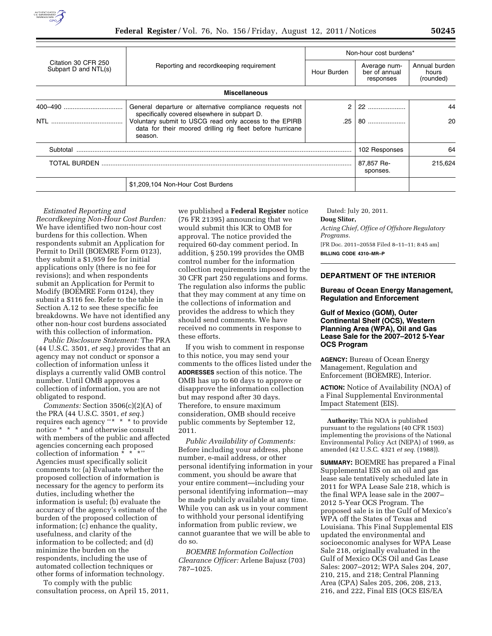

| Citation 30 CFR 250<br>Subpart D and NTL(s) | Reporting and recordkeeping requirement                                                                                        | Non-hour cost burdens* |                                            |                                     |
|---------------------------------------------|--------------------------------------------------------------------------------------------------------------------------------|------------------------|--------------------------------------------|-------------------------------------|
|                                             |                                                                                                                                | Hour Burden            | Average num-<br>ber of annual<br>responses | Annual burden<br>hours<br>(rounded) |
|                                             | <b>Miscellaneous</b>                                                                                                           |                        |                                            |                                     |
| 400-490                                     | General departure or alternative compliance requests not<br>specifically covered elsewhere in subpart D.                       | 2                      | 22                                         | 44                                  |
| NTI                                         | Voluntary submit to USCG read only access to the EPIRB<br>data for their moored drilling rig fleet before hurricane<br>season. | .25                    | 80                                         | 20                                  |
| Subtotal                                    |                                                                                                                                |                        | 102 Responses                              | 64                                  |
| TOTAL BURDEN                                |                                                                                                                                |                        | 87,857 Re-<br>sponses.                     | 215.624                             |
| \$1,209,104 Non-Hour Cost Burdens           |                                                                                                                                |                        |                                            |                                     |

*Estimated Reporting and Recordkeeping Non-Hour Cost Burden:*  We have identified two non-hour cost burdens for this collection. When respondents submit an Application for Permit to Drill (BOEMRE Form 0123), they submit a \$1,959 fee for initial applications only (there is no fee for revisions); and when respondents submit an Application for Permit to Modify (BOEMRE Form 0124), they submit a \$116 fee. Refer to the table in Section A.12 to see these specific fee breakdowns. We have not identified any other non-hour cost burdens associated with this collection of information.

*Public Disclosure Statement:* The PRA (44 U.S.C. 3501, *et seq.*) provides that an agency may not conduct or sponsor a collection of information unless it displays a currently valid OMB control number. Until OMB approves a collection of information, you are not obligated to respond.

*Comments:* Section 3506(c)(2)(A) of the PRA (44 U.S.C. 3501, *et seq.*) requires each agency ''\* \* \* to provide notice \* \* \* and otherwise consult with members of the public and affected agencies concerning each proposed collection of information  $*\cdot^*$ Agencies must specifically solicit comments to: (a) Evaluate whether the proposed collection of information is necessary for the agency to perform its duties, including whether the information is useful; (b) evaluate the accuracy of the agency's estimate of the burden of the proposed collection of information; (c) enhance the quality, usefulness, and clarity of the information to be collected; and (d) minimize the burden on the respondents, including the use of automated collection techniques or other forms of information technology.

To comply with the public consultation process, on April 15, 2011, we published a **Federal Register** notice (76 FR 21395) announcing that we would submit this ICR to OMB for approval. The notice provided the required 60-day comment period. In addition, § 250.199 provides the OMB control number for the information collection requirements imposed by the 30 CFR part 250 regulations and forms. The regulation also informs the public that they may comment at any time on the collections of information and provides the address to which they should send comments. We have received no comments in response to these efforts.

If you wish to comment in response to this notice, you may send your comments to the offices listed under the **ADDRESSES** section of this notice. The OMB has up to 60 days to approve or disapprove the information collection but may respond after 30 days. Therefore, to ensure maximum consideration, OMB should receive public comments by September 12, 2011.

*Public Availability of Comments:*  Before including your address, phone number, e-mail address, or other personal identifying information in your comment, you should be aware that your entire comment—including your personal identifying information—may be made publicly available at any time. While you can ask us in your comment to withhold your personal identifying information from public review, we cannot guarantee that we will be able to do so.

*BOEMRE Information Collection Clearance Officer:* Arlene Bajusz (703) 787–1025.

Dated: July 20, 2011.

**Doug Slitor,** 

*Acting Chief, Office of Offshore Regulatory Programs.*  [FR Doc. 2011–20558 Filed 8–11–11; 8:45 am]

**BILLING CODE 4310–MR–P** 

# **DEPARTMENT OF THE INTERIOR**

## **Bureau of Ocean Energy Management, Regulation and Enforcement**

## **Gulf of Mexico (GOM), Outer Continental Shelf (OCS), Western Planning Area (WPA), Oil and Gas Lease Sale for the 2007–2012 5-Year OCS Program**

**AGENCY:** Bureau of Ocean Energy Management, Regulation and Enforcement (BOEMRE), Interior.

**ACTION:** Notice of Availability (NOA) of a Final Supplemental Environmental Impact Statement (EIS).

**Authority:** This NOA is published pursuant to the regulations (40 CFR 1503) implementing the provisions of the National Environmental Policy Act (NEPA) of 1969, as amended (42 U.S.C. 4321 *et seq.* (1988)).

**SUMMARY:** BOEMRE has prepared a Final Supplemental EIS on an oil and gas lease sale tentatively scheduled late in 2011 for WPA Lease Sale 218, which is the final WPA lease sale in the 2007– 2012 5-Year OCS Program. The proposed sale is in the Gulf of Mexico's WPA off the States of Texas and Louisiana. This Final Supplemental EIS updated the environmental and socioeconomic analyses for WPA Lease Sale 218, originally evaluated in the Gulf of Mexico OCS Oil and Gas Lease Sales: 2007–2012; WPA Sales 204, 207, 210, 215, and 218; Central Planning Area (CPA) Sales 205, 206, 208, 213, 216, and 222, Final EIS (OCS EIS/EA